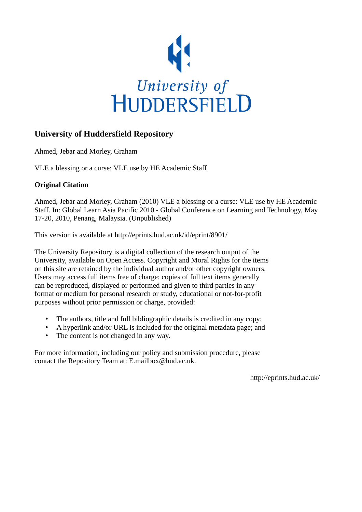

# **University of Huddersfield Repository**

Ahmed, Jebar and Morley, Graham

VLE a blessing or a curse: VLE use by HE Academic Staff

# **Original Citation**

Ahmed, Jebar and Morley, Graham (2010) VLE a blessing or a curse: VLE use by HE Academic Staff. In: Global Learn Asia Pacific 2010 - Global Conference on Learning and Technology, May 17-20, 2010, Penang, Malaysia. (Unpublished)

This version is available at http://eprints.hud.ac.uk/id/eprint/8901/

The University Repository is a digital collection of the research output of the University, available on Open Access. Copyright and Moral Rights for the items on this site are retained by the individual author and/or other copyright owners. Users may access full items free of charge; copies of full text items generally can be reproduced, displayed or performed and given to third parties in any format or medium for personal research or study, educational or not-for-profit purposes without prior permission or charge, provided:

- The authors, title and full bibliographic details is credited in any copy;
- A hyperlink and/or URL is included for the original metadata page; and
- The content is not changed in any way.

For more information, including our policy and submission procedure, please contact the Repository Team at: E.mailbox@hud.ac.uk.

http://eprints.hud.ac.uk/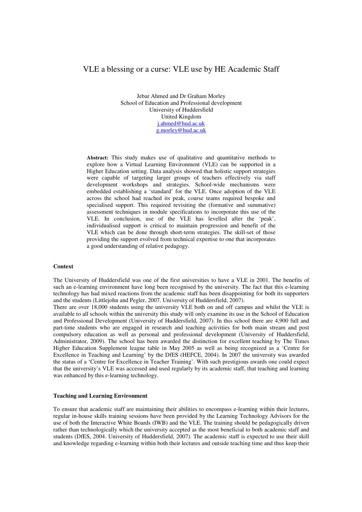# VLE a blessing or a curse: VLE use by HE Academic Staff

Jebar Ahmed and Dr Graham Morley School of Education and Professional development University of Huddersfield United Kingdom j.ahmed@hud.ac.uk g.morley@hud.ac.uk

**Abstract:** This study makes use of qualitative and quantitative methods to explore how a Virtual Learning Environment (VLE) can be supported in a Higher Education setting. Data analysis showed that holistic support strategies were capable of targeting larger groups of teachers effectively via staff development workshops and strategies. School-wide mechanisms were embedded establishing a 'standard' for the VLE. Once adoption of the VLE across the school had reached its peak, course teams required bespoke and specialised support. This required revisiting the (formative and summative) assessment techniques in module specifications to incorporate this use of the VLE. In conclusion, use of the VLE has levelled after the 'peak', individualised support is critical to maintain progression and benefit of the VLE which can be done through short-term strategies. The skill-set of those providing the support evolved from technical expertise to one that incorporates a good understanding of relative pedagogy.

#### **Context**

The University of Huddersfield was one of the first universities to have a VLE in 2001. The benefits of such an e-learning environment have long been recognised by the university. The fact that this e-learning technology has had mixed reactions from the academic staff has been disappointing for both its supporters and the students (Littlejohn and Pegler, 2007. University of Huddersfield, 2007).

There are over 18,000 students using the university VLE both on and off campus and whilst the VLE is available to all schools within the university this study will only examine its use in the School of Education and Professional Development (University of Huddersfield, 2007). In this school there are 4,900 full and part-time students who are engaged in research and teaching activities for both main stream and post compulsory education as well as personal and professional development (University of Huddersfield, Administrator, 2009). The school has been awarded the distinction for excellent teaching by The Times Higher Education Supplement league table in May 2005 as well as being recognized as a 'Centre for Excellence in Teaching and Learning' by the DfES (HEFCE, 2004). In 2007 the university was awarded the status of a 'Centre for Excellence in Teacher Training'. With such prestigious awards one could expect that the university's VLE was accessed and used regularly by its academic staff, that teaching and learning was enhanced by this e-learning technology.

### **Teaching and Learning Environment**

To ensure that academic staff are maintaining their abilities to encompass e-learning within their lectures, regular in-house skills training sessions have been provided by the Learning Technology Advisors for the use of both the Interactive White Boards (IWB) and the VLE. The training should be pedagogically driven rather than technologically which the university accepted as the most beneficial to both academic staff and students (DfES, 2004. University of Huddersfield, 2007). The academic staff is expected to use their skill and knowledge regarding e-learning within both their lectures and outside teaching time and thus keep their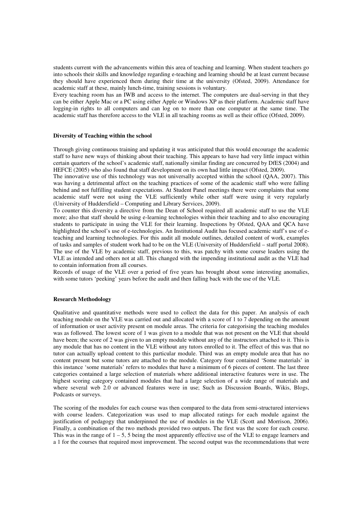students current with the advancements within this area of teaching and learning. When student teachers go into schools their skills and knowledge regarding e-teaching and learning should be at least current because they should have experienced them during their time at the university (Ofsted, 2009). Attendance for academic staff at these, mainly lunch-time, training sessions is voluntary.

Every teaching room has an IWB and access to the internet. The computers are dual-serving in that they can be either Apple Mac or a PC using either Apple or Windows XP as their platform. Academic staff have logging-in rights to all computers and can log on to more than one computer at the same time. The academic staff has therefore access to the VLE in all teaching rooms as well as their office (Ofsted, 2009).

#### **Diversity of Teaching within the school**

Through giving continuous training and updating it was anticipated that this would encourage the academic staff to have new ways of thinking about their teaching. This appears to have had very little impact within certain quarters of the school's academic staff, nationally similar finding are concurred by DfES (2004) and HEFCE (2005) who also found that staff development on its own had little impact (Ofsted, 2009).

The innovative use of this technology was not universally accepted within the school (QAA, 2007). This was having a detrimental affect on the teaching practices of some of the academic staff who were falling behind and not fulfilling student expectations. At Student Panel meetings there were complaints that some academic staff were not using the VLE sufficiently while other staff were using it very regularly (University of Huddersfield – Computing and Library Services, 2009).

To counter this diversity a directive from the Dean of School required all academic staff to use the VLE more; also that staff should be using e-learning technologies within their teaching and to also encouraging students to participate in using the VLE for their learning. Inspections by Ofsted, QAA and QCA have highlighted the school's use of e-technologies. An Institutional Audit has focused academic staff's use of eteaching and learning technologies. For this audit all module outlines, detailed content of work, examples of tasks and samples of student work had to be on the VLE (University of Huddersfield – staff portal 2008). The use of the VLE by academic staff, previous to this, was patchy with some course leaders using the VLE as intended and others not at all. This changed with the impending institutional audit as the VLE had to contain information from all courses.

Records of usage of the VLE over a period of five years has brought about some interesting anomalies, with some tutors 'peeking' years before the audit and then falling back with the use of the VLE.

#### **Research Methodology**

Qualitative and quantitative methods were used to collect the data for this paper. An analysis of each teaching module on the VLE was carried out and allocated with a score of 1 to 7 depending on the amount of information or user activity present on module areas. The criteria for categorising the teaching modules was as followed. The lowest score of 1 was given to a module that was not present on the VLE that should have been; the score of 2 was given to an empty module without any of the instructors attached to it. This is any module that has no content in the VLE without any tutors enrolled to it. The effect of this was that no tutor can actually upload content to this particular module. Third was an empty module area that has no content present but some tutors are attached to the module. Category four contained 'Some materials' in this instance 'some materials' refers to modules that have a minimum of 6 pieces of content. The last three categories contained a large selection of materials where additional interactive features were in use. The highest scoring category contained modules that had a large selection of a wide range of materials and where several web 2.0 or advanced features were in use; Such as Discussion Boards, Wikis, Blogs, Podcasts or surveys.

The scoring of the modules for each course was then compared to the data from semi-structured interviews with course leaders. Categorization was used to map allocated ratings for each module against the justification of pedagogy that underpinned the use of modules in the VLE (Scott and Morrison, 2006). Finally, a combination of the two methods provided two outputs. The first was the score for each course. This was in the range of  $1 - 5$ , 5 being the most apparently effective use of the VLE to engage learners and a 1 for the courses that required most improvement. The second output was the recommendations that were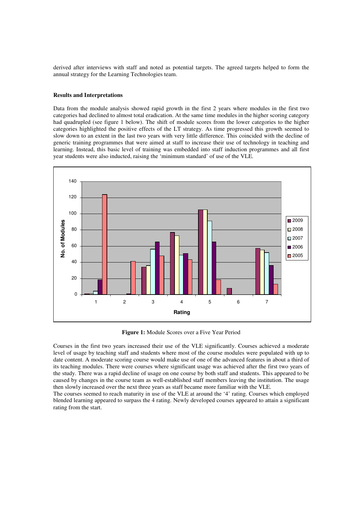derived after interviews with staff and noted as potential targets. The agreed targets helped to form the annual strategy for the Learning Technologies team.

#### **Results and Interpretations**

Data from the module analysis showed rapid growth in the first 2 years where modules in the first two categories had declined to almost total eradication. At the same time modules in the higher scoring category had quadrupled (see figure 1 below). The shift of module scores from the lower categories to the higher categories highlighted the positive effects of the LT strategy. As time progressed this growth seemed to slow down to an extent in the last two years with very little difference. This coincided with the decline of generic training programmes that were aimed at staff to increase their use of technology in teaching and learning. Instead, this basic level of training was embedded into staff induction programmes and all first year students were also inducted, raising the 'minimum standard' of use of the VLE.



**Figure 1:** Module Scores over a Five Year Period

Courses in the first two years increased their use of the VLE significantly. Courses achieved a moderate level of usage by teaching staff and students where most of the course modules were populated with up to date content. A moderate scoring course would make use of one of the advanced features in about a third of its teaching modules. There were courses where significant usage was achieved after the first two years of the study. There was a rapid decline of usage on one course by both staff and students. This appeared to be caused by changes in the course team as well-established staff members leaving the institution. The usage then slowly increased over the next three years as staff became more familiar with the VLE.

The courses seemed to reach maturity in use of the VLE at around the '4' rating. Courses which employed blended learning appeared to surpass the 4 rating. Newly developed courses appeared to attain a significant rating from the start.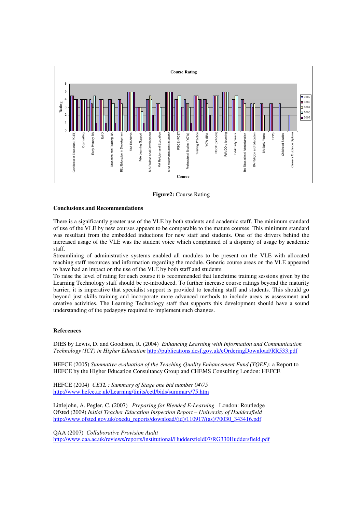

**Figure2:** Course Rating

### **Conclusions and Recommendations**

There is a significantly greater use of the VLE by both students and academic staff. The minimum standard of use of the VLE by new courses appears to be comparable to the mature courses. This minimum standard was resultant from the embedded inductions for new staff and students. One of the drivers behind the increased usage of the VLE was the student voice which complained of a disparity of usage by academic staff.

Streamlining of administrative systems enabled all modules to be present on the VLE with allocated teaching staff resources and information regarding the module. Generic course areas on the VLE appeared to have had an impact on the use of the VLE by both staff and students.

To raise the level of rating for each course it is recommended that lunchtime training sessions given by the Learning Technology staff should be re-introduced. To further increase course ratings beyond the maturity barrier, it is imperative that specialist support is provided to teaching staff and students. This should go beyond just skills training and incorporate more advanced methods to include areas as assessment and creative activities. The Learning Technology staff that supports this development should have a sound understanding of the pedagogy required to implement such changes.

## **References**

DfES by Lewis, D. and Goodison, R. (2004) *Enhancing Learning with Information and Communication Technology (ICT) in Higher Education* http://publications.dcsf.gov.uk/eOrderingDownload/RR533.pdf

HEFCE (2005) *Summative evaluation of the Teaching Quality Enhancement Fund (TQEF):* a Report to HEFCE by the Higher Education Consultancy Group and CHEMS Consulting London: HEFCE

HEFCE (2004) *CETL : Summary of Stage one bid number 04\75*  http://www.hefce.ac.uk/Learning/tinits/cetl/bids/summary/75.htm

Littlejohn, A. Pegler, C. (2007) *Preparing for Blended E-Learning* London: Routledge Ofsted (2009) *Initial Teacher Education Inspection Report – University of Huddersfield*  http://www.ofsted.gov.uk/oxedu\_reports/download/(id)/110917/(as)/70030\_343416.pdf

QAA (2007) *Collaborative Provision Audit*  http://www.qaa.ac.uk/reviews/reports/institutional/Huddersfield07/RG330Huddersfield.pdf